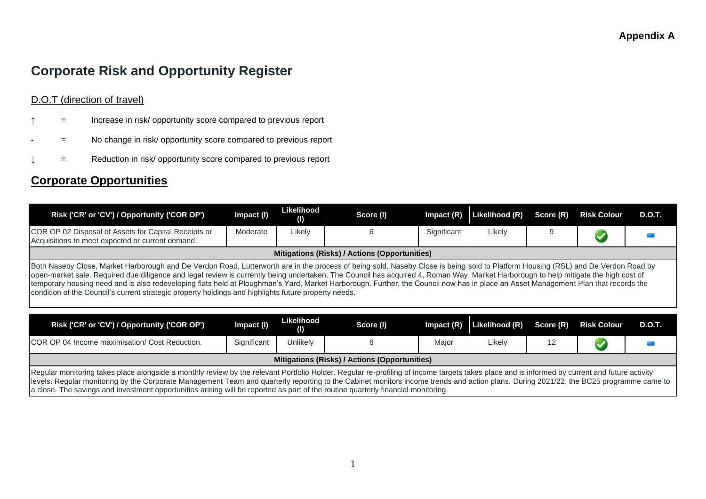# **Corporate Risk and Opportunity Register**

### D.O.T (direction of travel)

- **The Increase in risk/ opportunity score compared to previous report**
- = No change in risk/ opportunity score compared to previous report
- = Reduction in risk/ opportunity score compared to previous report

## **Corporate Opportunities**

| Risk ('CR' or 'CV') / Opportunity ('COR OP')                                                                                                                                                                                                                                                                                                                                                                                                                                                                                                                                                                                                                           | Impact (I)  | Likelihood<br>$\mathbf{U}$ | Score (I)                                            | $Im$ pact $(R)$ | Likelihood (R) | Score (R) | <b>Risk Colour</b> | D.O.T. |  |  |
|------------------------------------------------------------------------------------------------------------------------------------------------------------------------------------------------------------------------------------------------------------------------------------------------------------------------------------------------------------------------------------------------------------------------------------------------------------------------------------------------------------------------------------------------------------------------------------------------------------------------------------------------------------------------|-------------|----------------------------|------------------------------------------------------|-----------------|----------------|-----------|--------------------|--------|--|--|
| COR OP 02 Disposal of Assets for Capital Receipts or<br>Acquisitions to meet expected or current demand.                                                                                                                                                                                                                                                                                                                                                                                                                                                                                                                                                               | Moderate    | Likely                     | 6                                                    | Significant     | Likely         | 9         |                    |        |  |  |
|                                                                                                                                                                                                                                                                                                                                                                                                                                                                                                                                                                                                                                                                        |             |                            | <b>Mitigations (Risks) / Actions (Opportunities)</b> |                 |                |           |                    |        |  |  |
| Both Naseby Close, Market Harborough and De Verdon Road, Lutterworth are in the process of being sold. Naseby Close is being sold to Platform Housing (RSL) and De Verdon Road by<br>open-market sale. Required due diligence and legal review is currently being undertaken. The Council has acquired 4, Roman Way, Market Harborough to help mitigate the high cost of<br>temporary housing need and is also redeveloping flats held at Ploughman's Yard, Market Harborough. Further, the Council now has in place an Asset Management Plan that records the<br>condition of the Council's current strategic property holdings and highlights future property needs. |             |                            |                                                      |                 |                |           |                    |        |  |  |
|                                                                                                                                                                                                                                                                                                                                                                                                                                                                                                                                                                                                                                                                        |             |                            |                                                      |                 |                |           |                    |        |  |  |
| Risk ('CR' or 'CV') / Opportunity ('COR OP')                                                                                                                                                                                                                                                                                                                                                                                                                                                                                                                                                                                                                           | Impact (I)  | Likelihood<br>(1)          | Score (I)                                            | $Im$ pact $(R)$ | Likelihood (R) | Score (R) | <b>Risk Colour</b> | D.O.T. |  |  |
| COR OP 04 Income maximisation/ Cost Reduction.                                                                                                                                                                                                                                                                                                                                                                                                                                                                                                                                                                                                                         | Significant | Unlikely                   | 6                                                    | Major           | Likely         | 12        |                    |        |  |  |
|                                                                                                                                                                                                                                                                                                                                                                                                                                                                                                                                                                                                                                                                        |             |                            | Mitigations (Risks) / Actions (Opportunities)        |                 |                |           |                    |        |  |  |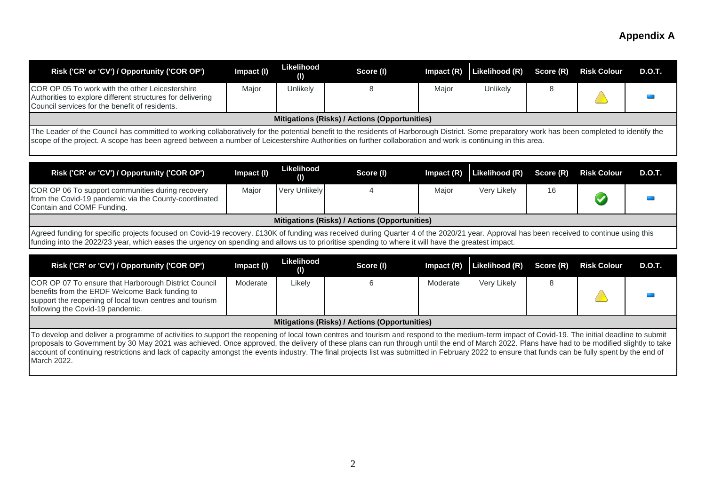| Risk ('CR' or 'CV') / Opportunity ('COR OP')                                                                                                                                                                                                                                                                                                                 | Impact (I) | Likelihood<br>$\left( 0\right)$ | Score (I)                                     | $Im$ pact $(R)$ | Likelihood (R) | Score (R) | <b>Risk Colour</b> | D.O.T.        |
|--------------------------------------------------------------------------------------------------------------------------------------------------------------------------------------------------------------------------------------------------------------------------------------------------------------------------------------------------------------|------------|---------------------------------|-----------------------------------------------|-----------------|----------------|-----------|--------------------|---------------|
| <b>COR OP 05 To work with the other Leicestershire</b><br>Authorities to explore different structures for delivering<br>Council services for the benefit of residents.                                                                                                                                                                                       | Major      | Unlikely                        | 8                                             | Major           | Unlikely       | 8         |                    |               |
|                                                                                                                                                                                                                                                                                                                                                              |            |                                 | Mitigations (Risks) / Actions (Opportunities) |                 |                |           |                    |               |
| The Leader of the Council has committed to working collaboratively for the potential benefit to the residents of Harborough District. Some preparatory work has been completed to identify the<br>scope of the project. A scope has been agreed between a number of Leicestershire Authorities on further collaboration and work is continuing in this area. |            |                                 |                                               |                 |                |           |                    |               |
| Risk ('CR' or 'CV') / Opportunity ('COR OP')                                                                                                                                                                                                                                                                                                                 | Impact (I) | Likelihood<br>$\left( 0\right)$ | Score (I)                                     | $Im$ pact $(R)$ | Likelihood (R) | Score (R) | <b>Risk Colour</b> | <b>D.O.T.</b> |
| COR OP 06 To support communities during recovery<br>from the Covid-19 pandemic via the County-coordinated<br>Contain and COMF Funding.                                                                                                                                                                                                                       | Major      | <b>Very Unlikely</b>            |                                               | Major           | Very Likely    | 16        |                    |               |

#### **Mitigations (Risks) / Actions (Opportunities)**

Agreed funding for specific projects focused on Covid-19 recovery. £130K of funding was received during Quarter 4 of the 2020/21 year. Approval has been received to continue using this funding into the 2022/23 year, which eases the urgency on spending and allows us to prioritise spending to where it will have the greatest impact.

| Risk ('CR' or 'CV') / Opportunity ('COR OP')                                                                                                                                                                                                                                                                                                                                                                                                                                                                                                                                                                     | Impact (I) | Likelihood<br>$\mathbf{\mathbf{\mathsf{(I)}}}$ | Score (I)                                     | Impact $(R)$ | Likelihood (R) | Score (R) | <b>Risk Colour</b> | <b>D.O.T.</b> |
|------------------------------------------------------------------------------------------------------------------------------------------------------------------------------------------------------------------------------------------------------------------------------------------------------------------------------------------------------------------------------------------------------------------------------------------------------------------------------------------------------------------------------------------------------------------------------------------------------------------|------------|------------------------------------------------|-----------------------------------------------|--------------|----------------|-----------|--------------------|---------------|
| COR OP 07 To ensure that Harborough District Council<br>benefits from the ERDF Welcome Back funding to<br>support the reopening of local town centres and tourism<br>following the Covid-19 pandemic.                                                                                                                                                                                                                                                                                                                                                                                                            | Moderate   | Likely                                         |                                               | Moderate     | Very Likely    |           |                    |               |
|                                                                                                                                                                                                                                                                                                                                                                                                                                                                                                                                                                                                                  |            |                                                | Mitigations (Risks) / Actions (Opportunities) |              |                |           |                    |               |
| To develop and deliver a programme of activities to support the reopening of local town centres and tourism and respond to the medium-term impact of Covid-19. The initial deadline to submit<br>proposals to Government by 30 May 2021 was achieved. Once approved, the delivery of these plans can run through until the end of March 2022. Plans have had to be modified slightly to take<br>account of continuing restrictions and lack of capacity amongst the events industry. The final projects list was submitted in February 2022 to ensure that funds can be fully spent by the end of<br>March 2022. |            |                                                |                                               |              |                |           |                    |               |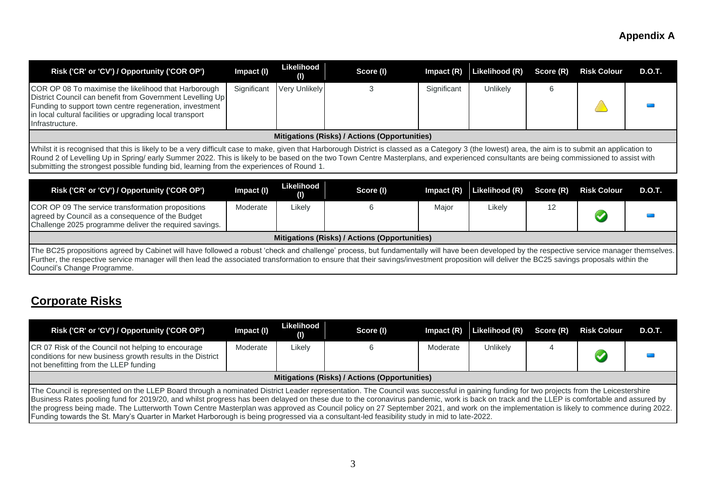| Risk ('CR' or 'CV') / Opportunity ('COR OP')                                                                                                                                                                                                                                                                                                                                                                                                                                               | Impact (I)  | Likelihood<br>O)        | Score (I)                                            | Impact $(R)$ | Likelihood (R) | Score (R) | <b>Risk Colour</b> | D.O.T.        |
|--------------------------------------------------------------------------------------------------------------------------------------------------------------------------------------------------------------------------------------------------------------------------------------------------------------------------------------------------------------------------------------------------------------------------------------------------------------------------------------------|-------------|-------------------------|------------------------------------------------------|--------------|----------------|-----------|--------------------|---------------|
| COR OP 08 To maximise the likelihood that Harborough<br>District Council can benefit from Government Levelling Up<br>Funding to support town centre regeneration, investment<br>in local cultural facilities or upgrading local transport<br>Infrastructure.                                                                                                                                                                                                                               | Significant | Very Unlikely           | 3                                                    | Significant  | Unlikely       | 6         |                    |               |
|                                                                                                                                                                                                                                                                                                                                                                                                                                                                                            |             |                         | <b>Mitigations (Risks) / Actions (Opportunities)</b> |              |                |           |                    |               |
| Whilst it is recognised that this is likely to be a very difficult case to make, given that Harborough District is classed as a Category 3 (the lowest) area, the aim is to submit an application to<br>Round 2 of Levelling Up in Spring/ early Summer 2022. This is likely to be based on the two Town Centre Masterplans, and experienced consultants are being commissioned to assist with<br>submitting the strongest possible funding bid, learning from the experiences of Round 1. |             |                         |                                                      |              |                |           |                    |               |
| Risk ('CR' or 'CV') / Opportunity ('COR OP')                                                                                                                                                                                                                                                                                                                                                                                                                                               | Impact (I)  | Likelihood<br>$\bf( I)$ | Score (I)                                            | Impact $(R)$ | Likelihood (R) | Score (R) | <b>Risk Colour</b> | <b>D.O.T.</b> |
| COR OP 09 The service transformation propositions<br>agreed by Council as a consequence of the Budget<br>Challenge 2025 programme deliver the required savings.                                                                                                                                                                                                                                                                                                                            | Moderate    | Likely                  | ĥ                                                    | Major        | Likely         | 12        |                    |               |
|                                                                                                                                                                                                                                                                                                                                                                                                                                                                                            |             |                         | Mitigations (Risks) / Actions (Opportunities)        |              |                |           |                    |               |
| The BC25 propositions agreed by Cabinet will have followed a robust 'check and challenge' process, but fundamentally will have been developed by the respective service manager themselves.<br>Further, the respective service manager will then lead the associated transformation to ensure that their savings/investment proposition will deliver the BC25 savings proposals within the<br>Council's Change Programme.                                                                  |             |                         |                                                      |              |                |           |                    |               |

# **Corporate Risks**

| Risk ('CR' or 'CV') / Opportunity ('COR OP')                                                                                                                                                                                                                                                                                                                                                                                                                                                                                                                                                                                                                                                                                 | Impact (I) | Likelihood<br>(1) | Score (I)                                     | $Im$ pact $(R)$ | Likelihood (R)  | Score (R) | <b>Risk Colour</b> | D.O.T. |
|------------------------------------------------------------------------------------------------------------------------------------------------------------------------------------------------------------------------------------------------------------------------------------------------------------------------------------------------------------------------------------------------------------------------------------------------------------------------------------------------------------------------------------------------------------------------------------------------------------------------------------------------------------------------------------------------------------------------------|------------|-------------------|-----------------------------------------------|-----------------|-----------------|-----------|--------------------|--------|
| CR 07 Risk of the Council not helping to encourage<br>conditions for new business growth results in the District<br>not benefitting from the LLEP funding                                                                                                                                                                                                                                                                                                                                                                                                                                                                                                                                                                    | Moderate   | Likely            |                                               | Moderate        | <b>Unlikely</b> |           |                    |        |
|                                                                                                                                                                                                                                                                                                                                                                                                                                                                                                                                                                                                                                                                                                                              |            |                   | Mitigations (Risks) / Actions (Opportunities) |                 |                 |           |                    |        |
| The Council is represented on the LLEP Board through a nominated District Leader representation. The Council was successful in gaining funding for two projects from the Leicestershire<br>Business Rates pooling fund for 2019/20, and whilst progress has been delayed on these due to the coronavirus pandemic, work is back on track and the LLEP is comfortable and assured by<br>the progress being made. The Lutterworth Town Centre Masterplan was approved as Council policy on 27 September 2021, and work on the implementation is likely to commence during 2022.<br>Funding towards the St. Mary's Quarter in Market Harborough is being progressed via a consultant-led feasibility study in mid to late-2022. |            |                   |                                               |                 |                 |           |                    |        |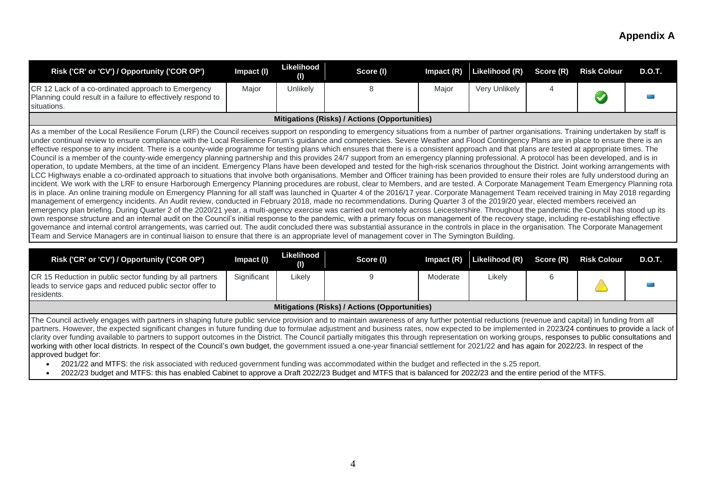| Risk ('CR' or 'CV') / Opportunity ('COR OP')                                                                                                                                                                                                                                                                                                                                                                                                                                                                                                                                                                                                                                                                                                                                                                                                                                                                                                                                                                                                                                                                                                                                                                                                                                                                                                                                                                                                                                                                                                                                                                                                                                                                                                                                                                                                                                                                                                                                                                                                                                                                                                                                                                                                                                                                                                                                                                                                                                                        | Impact (I) | Likelihood<br>$\mathbf{U}$ | Score (I) | Impact (R) | Likelihood (R) | Score (R) | <b>Risk Colour</b> | D.O.T. |
|-----------------------------------------------------------------------------------------------------------------------------------------------------------------------------------------------------------------------------------------------------------------------------------------------------------------------------------------------------------------------------------------------------------------------------------------------------------------------------------------------------------------------------------------------------------------------------------------------------------------------------------------------------------------------------------------------------------------------------------------------------------------------------------------------------------------------------------------------------------------------------------------------------------------------------------------------------------------------------------------------------------------------------------------------------------------------------------------------------------------------------------------------------------------------------------------------------------------------------------------------------------------------------------------------------------------------------------------------------------------------------------------------------------------------------------------------------------------------------------------------------------------------------------------------------------------------------------------------------------------------------------------------------------------------------------------------------------------------------------------------------------------------------------------------------------------------------------------------------------------------------------------------------------------------------------------------------------------------------------------------------------------------------------------------------------------------------------------------------------------------------------------------------------------------------------------------------------------------------------------------------------------------------------------------------------------------------------------------------------------------------------------------------------------------------------------------------------------------------------------------------|------------|----------------------------|-----------|------------|----------------|-----------|--------------------|--------|
| CR 12 Lack of a co-ordinated approach to Emergency<br>Planning could result in a failure to effectively respond to<br>situations.                                                                                                                                                                                                                                                                                                                                                                                                                                                                                                                                                                                                                                                                                                                                                                                                                                                                                                                                                                                                                                                                                                                                                                                                                                                                                                                                                                                                                                                                                                                                                                                                                                                                                                                                                                                                                                                                                                                                                                                                                                                                                                                                                                                                                                                                                                                                                                   | Major      | <b>Unlikely</b>            |           | Major      | Very Unlikely  |           |                    |        |
| Mitigations (Risks) / Actions (Opportunities)                                                                                                                                                                                                                                                                                                                                                                                                                                                                                                                                                                                                                                                                                                                                                                                                                                                                                                                                                                                                                                                                                                                                                                                                                                                                                                                                                                                                                                                                                                                                                                                                                                                                                                                                                                                                                                                                                                                                                                                                                                                                                                                                                                                                                                                                                                                                                                                                                                                       |            |                            |           |            |                |           |                    |        |
| As a member of the Local Resilience Forum (LRF) the Council receives support on responding to emergency situations from a number of partner organisations. Training undertaken by staff is<br>under continual review to ensure compliance with the Local Resilience Forum's guidance and competencies. Severe Weather and Flood Contingency Plans are in place to ensure there is an<br>effective response to any incident. There is a county-wide programme for testing plans which ensures that there is a consistent approach and that plans are tested at appropriate times. The<br>Council is a member of the county-wide emergency planning partnership and this provides 24/7 support from an emergency planning professional. A protocol has been developed, and is in<br>operation, to update Members, at the time of an incident. Emergency Plans have been developed and tested for the high-risk scenarios throughout the District. Joint working arrangements with<br>LCC Highways enable a co-ordinated approach to situations that involve both organisations. Member and Officer training has been provided to ensure their roles are fully understood during an<br>incident. We work with the LRF to ensure Harborough Emergency Planning procedures are robust, clear to Members, and are tested. A Corporate Management Team Emergency Planning rota<br>is in place. An online training module on Emergency Planning for all staff was launched in Quarter 4 of the 2016/17 year. Corporate Management Team received training in May 2018 regarding<br>management of emergency incidents. An Audit review, conducted in February 2018, made no recommendations. During Quarter 3 of the 2019/20 year, elected members received an<br>emergency plan briefing. During Quarter 2 of the 2020/21 year, a multi-agency exercise was carried out remotely across Leicestershire. Throughout the pandemic the Council has stood up its<br>own response structure and an internal audit on the Council's initial response to the pandemic, with a primary focus on management of the recovery stage, including re-establishing effective<br>governance and internal control arrangements, was carried out. The audit concluded there was substantial assurance in the controls in place in the organisation. The Corporate Management<br>Team and Service Managers are in continual liaison to ensure that there is an appropriate level of management cover in The Symington Building. |            |                            |           |            |                |           |                    |        |

|                                               | (1)        | Score (I) |          | Impact (R) Likelihood (R) Score (R) |  | <b>Risk Colour</b> | <b>D.O.T.</b> |  |  |
|-----------------------------------------------|------------|-----------|----------|-------------------------------------|--|--------------------|---------------|--|--|
| Significant                                   | Likelv     |           | Moderate | Likely                              |  |                    |               |  |  |
| Mitigations (Risks) / Actions (Opportunities) |            |           |          |                                     |  |                    |               |  |  |
|                                               | Impact (I) |           |          |                                     |  |                    |               |  |  |

The Council actively engages with partners in shaping future public service provision and to maintain awareness of any further potential reductions (revenue and capital) in funding from all partners. However, the expected significant changes in future funding due to formulae adjustment and business rates, now expected to be implemented in 2023/24 continues to provide a lack of clarity over funding available to partners to support outcomes in the District. The Council partially mitigates this through representation on working groups, responses to public consultations and working with other local districts. In respect of the Council's own budget, the government issued a one-year financial settlement for 2021/22 and has again for 2022/23. In respect of the approved budget for:

• 2021/22 and MTFS: the risk associated with reduced government funding was accommodated within the budget and reflected in the s.25 report.

• 2022/23 budget and MTFS: this has enabled Cabinet to approve a Draft 2022/23 Budget and MTFS that is balanced for 2022/23 and the entire period of the MTFS.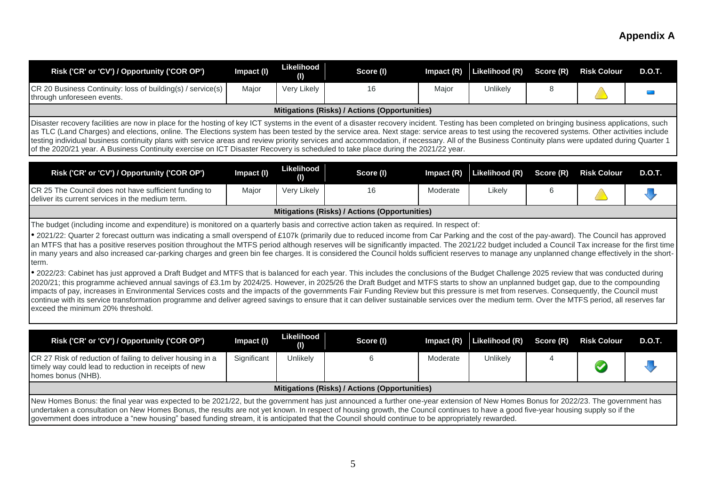| Risk ('CR' or 'CV') / Opportunity ('COR OP')                                                                                                                                                                                                                                                                                                                                                                                                                                                                                                                                                                                                                                                                                                                                                                                                                                                                                                                                                                                                                                                                                                                                                                                                                                                                                                                                                                                                                                                                                                                            | Impact (I)  | Likelihood<br>O)  | Score (I)                                     | Impact $(R)$ | Likelihood (R) | Score (R) | <b>Risk Colour</b> | <b>D.O.T.</b> |
|-------------------------------------------------------------------------------------------------------------------------------------------------------------------------------------------------------------------------------------------------------------------------------------------------------------------------------------------------------------------------------------------------------------------------------------------------------------------------------------------------------------------------------------------------------------------------------------------------------------------------------------------------------------------------------------------------------------------------------------------------------------------------------------------------------------------------------------------------------------------------------------------------------------------------------------------------------------------------------------------------------------------------------------------------------------------------------------------------------------------------------------------------------------------------------------------------------------------------------------------------------------------------------------------------------------------------------------------------------------------------------------------------------------------------------------------------------------------------------------------------------------------------------------------------------------------------|-------------|-------------------|-----------------------------------------------|--------------|----------------|-----------|--------------------|---------------|
| CR 20 Business Continuity: loss of building(s) / service(s)<br>through unforeseen events.                                                                                                                                                                                                                                                                                                                                                                                                                                                                                                                                                                                                                                                                                                                                                                                                                                                                                                                                                                                                                                                                                                                                                                                                                                                                                                                                                                                                                                                                               | Major       | Very Likely       | 16                                            | Major        | Unlikely       | 8         |                    |               |
|                                                                                                                                                                                                                                                                                                                                                                                                                                                                                                                                                                                                                                                                                                                                                                                                                                                                                                                                                                                                                                                                                                                                                                                                                                                                                                                                                                                                                                                                                                                                                                         |             |                   | Mitigations (Risks) / Actions (Opportunities) |              |                |           |                    |               |
| Disaster recovery facilities are now in place for the hosting of key ICT systems in the event of a disaster recovery incident. Testing has been completed on bringing business applications, such<br>as TLC (Land Charges) and elections, online. The Elections system has been tested by the service area. Next stage: service areas to test using the recovered systems. Other activities include<br>testing individual business continuity plans with service areas and review priority services and accommodation, if necessary. All of the Business Continuity plans were updated during Quarter 1<br>of the 2020/21 year. A Business Continuity exercise on ICT Disaster Recovery is scheduled to take place during the 2021/22 year.                                                                                                                                                                                                                                                                                                                                                                                                                                                                                                                                                                                                                                                                                                                                                                                                                             |             |                   |                                               |              |                |           |                    |               |
| Risk ('CR' or 'CV') / Opportunity ('COR OP')                                                                                                                                                                                                                                                                                                                                                                                                                                                                                                                                                                                                                                                                                                                                                                                                                                                                                                                                                                                                                                                                                                                                                                                                                                                                                                                                                                                                                                                                                                                            | Impact (I)  | Likelihood<br>O)  | Score (I)                                     | Impact $(R)$ | Likelihood (R) | Score (R) | <b>Risk Colour</b> | <b>D.O.T.</b> |
| CR 25 The Council does not have sufficient funding to<br>deliver its current services in the medium term.                                                                                                                                                                                                                                                                                                                                                                                                                                                                                                                                                                                                                                                                                                                                                                                                                                                                                                                                                                                                                                                                                                                                                                                                                                                                                                                                                                                                                                                               | Major       | Very Likely       | 16                                            | Moderate     | Likely         | 6         |                    |               |
|                                                                                                                                                                                                                                                                                                                                                                                                                                                                                                                                                                                                                                                                                                                                                                                                                                                                                                                                                                                                                                                                                                                                                                                                                                                                                                                                                                                                                                                                                                                                                                         |             |                   | Mitigations (Risks) / Actions (Opportunities) |              |                |           |                    |               |
| The budget (including income and expenditure) is monitored on a quarterly basis and corrective action taken as required. In respect of:<br>• 2021/22: Quarter 2 forecast outturn was indicating a small overspend of £107k (primarily due to reduced income from Car Parking and the cost of the pay-award). The Council has approved<br>an MTFS that has a positive reserves position throughout the MTFS period although reserves will be significantly impacted. The 2021/22 budget included a Council Tax increase for the first time<br>in many years and also increased car-parking charges and green bin fee charges. It is considered the Council holds sufficient reserves to manage any unplanned change effectively in the short-<br>term.<br>• 2022/23: Cabinet has just approved a Draft Budget and MTFS that is balanced for each year. This includes the conclusions of the Budget Challenge 2025 review that was conducted during<br>2020/21; this programme achieved annual savings of £3.1m by 2024/25. However, in 2025/26 the Draft Budget and MTFS starts to show an unplanned budget gap, due to the compounding<br>impacts of pay, increases in Environmental Services costs and the impacts of the governments Fair Funding Review but this pressure is met from reserves. Consequently, the Council must<br>continue with its service transformation programme and deliver agreed savings to ensure that it can deliver sustainable services over the medium term. Over the MTFS period, all reserves far<br>exceed the minimum 20% threshold. |             |                   |                                               |              |                |           |                    |               |
| Risk ('CR' or 'CV') / Opportunity ('COR OP')                                                                                                                                                                                                                                                                                                                                                                                                                                                                                                                                                                                                                                                                                                                                                                                                                                                                                                                                                                                                                                                                                                                                                                                                                                                                                                                                                                                                                                                                                                                            | Impact (I)  | Likelihood<br>(I) | Score (I)                                     | Impact (R)   | Likelihood (R) | Score (R) | <b>Risk Colour</b> | <b>D.O.T.</b> |
| CR 27 Risk of reduction of failing to deliver housing in a<br>timely way could lead to reduction in receipts of new<br>homes bonus (NHB).                                                                                                                                                                                                                                                                                                                                                                                                                                                                                                                                                                                                                                                                                                                                                                                                                                                                                                                                                                                                                                                                                                                                                                                                                                                                                                                                                                                                                               | Significant | Unlikely          | 6                                             | Moderate     | Unlikely       | 4         |                    |               |
|                                                                                                                                                                                                                                                                                                                                                                                                                                                                                                                                                                                                                                                                                                                                                                                                                                                                                                                                                                                                                                                                                                                                                                                                                                                                                                                                                                                                                                                                                                                                                                         |             |                   | Mitigations (Risks) / Actions (Opportunities) |              |                |           |                    |               |

New Homes Bonus: the final year was expected to be 2021/22, but the government has just announced a further one-year extension of New Homes Bonus for 2022/23. The government has undertaken a consultation on New Homes Bonus, the results are not yet known. In respect of housing growth, the Council continues to have a good five-year housing supply so if the government does introduce a "new housing" based funding stream, it is anticipated that the Council should continue to be appropriately rewarded.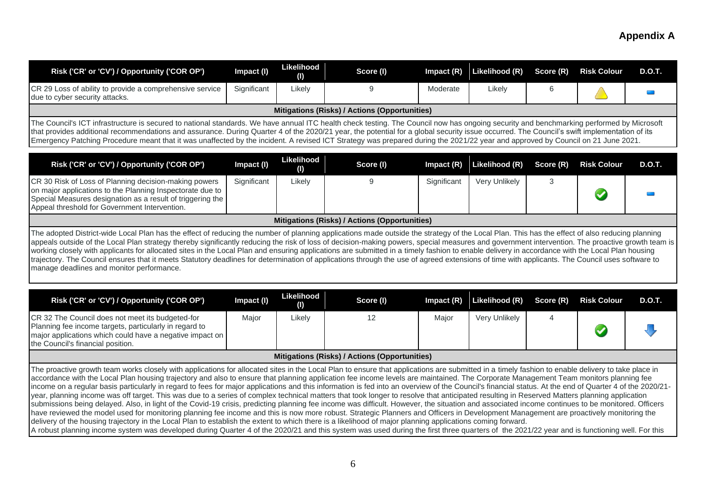| Risk ('CR' or 'CV') / Opportunity ('COR OP')                                                                                                                                                                                                                                                                                                                                                                                                                                                                                                                                                                                                                                                      | Impact (I)  | Likelihood<br>(1) | Score (I)                                            | Impact $(R)$ | Likelihood (R) | Score (R)      | <b>Risk Colour</b> | <b>D.O.T.</b> |
|---------------------------------------------------------------------------------------------------------------------------------------------------------------------------------------------------------------------------------------------------------------------------------------------------------------------------------------------------------------------------------------------------------------------------------------------------------------------------------------------------------------------------------------------------------------------------------------------------------------------------------------------------------------------------------------------------|-------------|-------------------|------------------------------------------------------|--------------|----------------|----------------|--------------------|---------------|
| CR 29 Loss of ability to provide a comprehensive service<br>due to cyber security attacks.                                                                                                                                                                                                                                                                                                                                                                                                                                                                                                                                                                                                        | Significant | Likely            | 9                                                    | Moderate     | Likely         | 6              |                    |               |
|                                                                                                                                                                                                                                                                                                                                                                                                                                                                                                                                                                                                                                                                                                   |             |                   | <b>Mitigations (Risks) / Actions (Opportunities)</b> |              |                |                |                    |               |
| The Council's ICT infrastructure is secured to national standards. We have annual ITC health check testing. The Council now has ongoing security and benchmarking performed by Microsoft<br>that provides additional recommendations and assurance. During Quarter 4 of the 2020/21 year, the potential for a global security issue occurred. The Council's swift implementation of its<br>Emergency Patching Procedure meant that it was unaffected by the incident. A revised ICT Strategy was prepared during the 2021/22 year and approved by Council on 21 June 2021.                                                                                                                        |             |                   |                                                      |              |                |                |                    |               |
| Risk ('CR' or 'CV') / Opportunity ('COR OP')                                                                                                                                                                                                                                                                                                                                                                                                                                                                                                                                                                                                                                                      | Impact (I)  | Likelihood<br>(1) | Score (I)                                            | Impact (R)   | Likelihood (R) | Score (R)      | <b>Risk Colour</b> | <b>D.O.T.</b> |
| CR 30 Risk of Loss of Planning decision-making powers<br>on major applications to the Planning Inspectorate due to<br>Special Measures designation as a result of triggering the<br>Appeal threshold for Government Intervention.                                                                                                                                                                                                                                                                                                                                                                                                                                                                 | Significant | Likely            | 9                                                    | Significant  | Very Unlikely  | 3              |                    |               |
|                                                                                                                                                                                                                                                                                                                                                                                                                                                                                                                                                                                                                                                                                                   |             |                   | <b>Mitigations (Risks) / Actions (Opportunities)</b> |              |                |                |                    |               |
| appeals outside of the Local Plan strategy thereby significantly reducing the risk of loss of decision-making powers, special measures and government intervention. The proactive growth team is<br>working closely with applicants for allocated sites in the Local Plan and ensuring applications are submitted in a timely fashion to enable delivery in accordance with the Local Plan housing<br>trajectory. The Council ensures that it meets Statutory deadlines for determination of applications through the use of agreed extensions of time with applicants. The Council uses software to<br>manage deadlines and monitor performance.<br>Risk ('CR' or 'CV') / Opportunity ('COR OP') | Impact (I)  | Likelihood<br>(1) | Score (I)                                            | Impact (R)   | Likelihood (R) | Score (R)      | <b>Risk Colour</b> | <b>D.O.T.</b> |
| CR 32 The Council does not meet its budgeted-for<br>Planning fee income targets, particularly in regard to<br>major applications which could have a negative impact on<br>the Council's financial position.                                                                                                                                                                                                                                                                                                                                                                                                                                                                                       | Major       | Likely            | 12                                                   | Major        | Very Unlikely  | $\overline{4}$ |                    |               |
|                                                                                                                                                                                                                                                                                                                                                                                                                                                                                                                                                                                                                                                                                                   |             |                   |                                                      |              |                |                |                    |               |
|                                                                                                                                                                                                                                                                                                                                                                                                                                                                                                                                                                                                                                                                                                   |             |                   | Mitigations (Risks) / Actions (Opportunities)        |              |                |                |                    |               |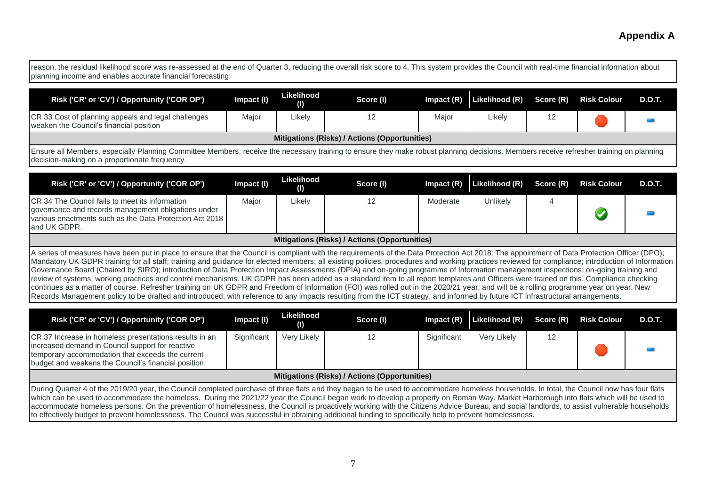reason, the residual likelihood score was re-assessed at the end of Quarter 3, reducing the overall risk score to 4. This system provides the Council with real-time financial information about planning income and enables accurate financial forecasting.

| Risk ('CR' or 'CV') / Opportunity ('COR OP')                                                                                                                                  | Impact (I) | Likelihood<br>(1) | Score (I) | Impact $(R)$ | Likelihood (R) Score (R) Risk Colour |  |  | <b>D.O.T.</b> |  |
|-------------------------------------------------------------------------------------------------------------------------------------------------------------------------------|------------|-------------------|-----------|--------------|--------------------------------------|--|--|---------------|--|
| CR 33 Cost of planning appeals and legal challenges<br>weaken the Council's financial position                                                                                | Major      | ∟ikely            |           | Major        | Likely                               |  |  |               |  |
| Mitigations (Risks) / Actions (Opportunities)                                                                                                                                 |            |                   |           |              |                                      |  |  |               |  |
| <u> Facus all Markers economic Disarias Compiles Markers producebe accomunicator e cours theurale polusion designe decision. Markers produce producedes training accepted</u> |            |                   |           |              |                                      |  |  |               |  |

Ensure all Members, especially Planning Committee Members, receive the necessary training to ensure they make robust planning decisions. Members receive refresher training on planning decision-making on a proportionate frequency.

| Risk ('CR' or 'CV') / Opportunity ('COR OP')                                                                                                                                                                                                                                                                                                                                                                                                                                                                                                                                                                                                                                                                                                                                                                                                                                                                                                                                                                                                                                                                                                                | Impact (I) | Likelihood<br>$\bf( I)$ | Score (I) | Impact $(R)$ | Likelihood (R) | Score (R) | <b>Risk Colour</b> | <b>D.O.T.</b> |
|-------------------------------------------------------------------------------------------------------------------------------------------------------------------------------------------------------------------------------------------------------------------------------------------------------------------------------------------------------------------------------------------------------------------------------------------------------------------------------------------------------------------------------------------------------------------------------------------------------------------------------------------------------------------------------------------------------------------------------------------------------------------------------------------------------------------------------------------------------------------------------------------------------------------------------------------------------------------------------------------------------------------------------------------------------------------------------------------------------------------------------------------------------------|------------|-------------------------|-----------|--------------|----------------|-----------|--------------------|---------------|
| CR 34 The Council fails to meet its information<br>governance and records management obligations under<br>various enactments such as the Data Protection Act 2018<br>land UK GDPR.                                                                                                                                                                                                                                                                                                                                                                                                                                                                                                                                                                                                                                                                                                                                                                                                                                                                                                                                                                          | Major      | Likely                  | 12        | Moderate     | Unlikely       |           |                    |               |
| Mitigations (Risks) / Actions (Opportunities)                                                                                                                                                                                                                                                                                                                                                                                                                                                                                                                                                                                                                                                                                                                                                                                                                                                                                                                                                                                                                                                                                                               |            |                         |           |              |                |           |                    |               |
| A series of measures have been put in place to ensure that the Council is compliant with the requirements of the Data Protection Act 2018: The appointment of Data Protection Officer (DPO);<br>Mandatory UK GDPR training for all staff; training and guidance for elected members; all existing policies, procedures and working practices reviewed for compliance; introduction of Information<br>Governance Board (Chaired by SIRO); introduction of Data Protection Impact Assessments (DPIA) and on-going programme of Information management inspections; on-going training and<br>review of systems, working practices and control mechanisms. UK GDPR has been added as a standard item to all report templates and Officers were trained on this. Compliance checking<br>continues as a matter of course. Refresher training on UK GDPR and Freedom of Information (FOI) was rolled out in the 2020/21 year, and will be a rolling programme year on year. New<br>Records Management policy to be drafted and introduced, with reference to any impacts resulting from the ICT strategy, and informed by future ICT infrastructural arrangements. |            |                         |           |              |                |           |                    |               |

| Risk ('CR' or 'CV') / Opportunity ('COR OP')                                                                                                                                                                                                                                                                                                                                       | Impact (I)  | Likelihood<br>(1) | Score (I) | $Im$ pact $(R)$ | Likelihood (R) Score (R) |  | <b>Risk Colour</b> | <b>D.O.T.</b> |
|------------------------------------------------------------------------------------------------------------------------------------------------------------------------------------------------------------------------------------------------------------------------------------------------------------------------------------------------------------------------------------|-------------|-------------------|-----------|-----------------|--------------------------|--|--------------------|---------------|
| CR 37 Increase in homeless presentations results in an<br>increased demand in Council support for reactive<br>temporary accommodation that exceeds the current<br>budget and weakens the Council's financial position.                                                                                                                                                             | Significant | Very Likely       |           | Significant     | Very Likely              |  |                    |               |
| Mitigations (Risks) / Actions (Opportunities)                                                                                                                                                                                                                                                                                                                                      |             |                   |           |                 |                          |  |                    |               |
| During Quarter 4 of the 2019/20 year, the Council completed purchase of three flats and they began to be used to accommodate homeless households. In total, the Council now has four flats<br>which can be used to accommodate the homeless. During the 2021/22 year the Council began work to develop a property on Roman Way, Market Harborough into flats which will be used to |             |                   |           |                 |                          |  |                    |               |

the nomeless. During the 2021/22 year the Council began work to develop a property on Roman Way, Market Harborough into flats which will be used to accommodate homeless persons. On the prevention of homelessness, the Council is proactively working with the Citizens Advice Bureau, and social landlords, to assist vulnerable households to effectively budget to prevent homelessness. The Council was successful in obtaining additional funding to specifically help to prevent homelessness.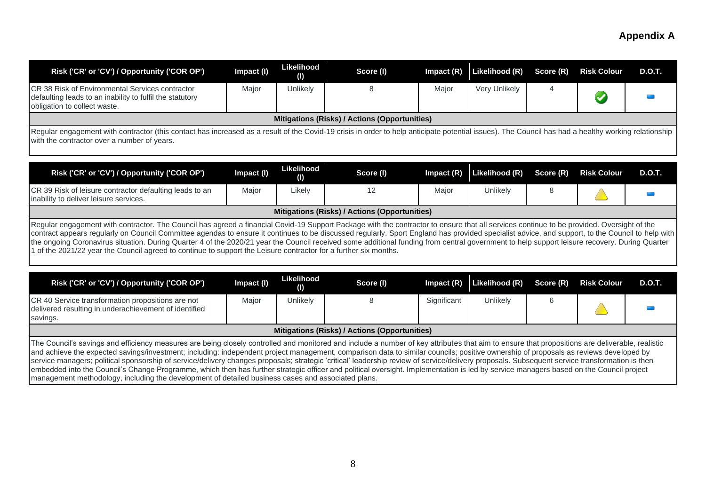| Risk ('CR' or 'CV') / Opportunity ('COR OP')                                                                                                                                                                                                                                                                                                                                                                                                                                                                                                                                                                                                                                                                                                                                                                                                                                              | Impact (I) | Likelihood<br>(I)               | Score (I)                                            | Impact (R)   | Likelihood (R) | Score (R)      | <b>Risk Colour</b>   | <b>D.O.T.</b> |
|-------------------------------------------------------------------------------------------------------------------------------------------------------------------------------------------------------------------------------------------------------------------------------------------------------------------------------------------------------------------------------------------------------------------------------------------------------------------------------------------------------------------------------------------------------------------------------------------------------------------------------------------------------------------------------------------------------------------------------------------------------------------------------------------------------------------------------------------------------------------------------------------|------------|---------------------------------|------------------------------------------------------|--------------|----------------|----------------|----------------------|---------------|
| CR 38 Risk of Environmental Services contractor<br>defaulting leads to an inability to fulfil the statutory<br>obligation to collect waste.                                                                                                                                                                                                                                                                                                                                                                                                                                                                                                                                                                                                                                                                                                                                               | Major      | Unlikely                        | 8                                                    | Major        | Very Unlikely  | $\overline{4}$ | $\blacktriangledown$ |               |
|                                                                                                                                                                                                                                                                                                                                                                                                                                                                                                                                                                                                                                                                                                                                                                                                                                                                                           |            |                                 | Mitigations (Risks) / Actions (Opportunities)        |              |                |                |                      |               |
| Regular engagement with contractor (this contact has increased as a result of the Covid-19 crisis in order to help anticipate potential issues). The Council has had a healthy working relationship<br>with the contractor over a number of years.                                                                                                                                                                                                                                                                                                                                                                                                                                                                                                                                                                                                                                        |            |                                 |                                                      |              |                |                |                      |               |
| Risk ('CR' or 'CV') / Opportunity ('COR OP')                                                                                                                                                                                                                                                                                                                                                                                                                                                                                                                                                                                                                                                                                                                                                                                                                                              | Impact (I) | Likelihood<br>$\left( 1\right)$ | Score (I)                                            | Impact (R)   | Likelihood (R) | Score (R)      | <b>Risk Colour</b>   | <b>D.O.T.</b> |
| CR 39 Risk of leisure contractor defaulting leads to an<br>inability to deliver leisure services.                                                                                                                                                                                                                                                                                                                                                                                                                                                                                                                                                                                                                                                                                                                                                                                         | Major      | Likely                          | 12                                                   | Major        | Unlikely       | $\,8\,$        |                      |               |
|                                                                                                                                                                                                                                                                                                                                                                                                                                                                                                                                                                                                                                                                                                                                                                                                                                                                                           |            |                                 | Mitigations (Risks) / Actions (Opportunities)        |              |                |                |                      |               |
| Regular engagement with contractor. The Council has agreed a financial Covid-19 Support Package with the contractor to ensure that all services continue to be provided. Oversight of the<br>contract appears regularly on Council Committee agendas to ensure it continues to be discussed regularly. Sport England has provided specialist advice, and support, to the Council to help with<br>the ongoing Coronavirus situation. During Quarter 4 of the 2020/21 year the Council received some additional funding from central government to help support leisure recovery. During Quarter<br>1 of the 2021/22 year the Council agreed to continue to support the Leisure contractor for a further six months.                                                                                                                                                                        |            |                                 |                                                      |              |                |                |                      |               |
| Risk ('CR' or 'CV') / Opportunity ('COR OP')                                                                                                                                                                                                                                                                                                                                                                                                                                                                                                                                                                                                                                                                                                                                                                                                                                              | Impact (I) | Likelihood<br>$\left( 0\right)$ | Score (I)                                            | Impact $(R)$ | Likelihood (R) | Score (R)      | <b>Risk Colour</b>   | <b>D.O.T.</b> |
| CR 40 Service transformation propositions are not<br>delivered resulting in underachievement of identified<br>savings.                                                                                                                                                                                                                                                                                                                                                                                                                                                                                                                                                                                                                                                                                                                                                                    | Major      | Unlikely                        | 8                                                    | Significant  | Unlikely       | $\,6$          |                      |               |
|                                                                                                                                                                                                                                                                                                                                                                                                                                                                                                                                                                                                                                                                                                                                                                                                                                                                                           |            |                                 | <b>Mitigations (Risks) / Actions (Opportunities)</b> |              |                |                |                      |               |
| The Council's savings and efficiency measures are being closely controlled and monitored and include a number of key attributes that aim to ensure that propositions are deliverable, realistic<br>and achieve the expected savings/investment; including: independent project management, comparison data to similar councils; positive ownership of proposals as reviews developed by<br>service managers; political sponsorship of service/delivery changes proposals; strategic 'critical' leadership review of service/delivery proposals. Subsequent service transformation is then<br>embedded into the Council's Change Programme, which then has further strategic officer and political oversight. Implementation is led by service managers based on the Council project<br>management methodology, including the development of detailed business cases and associated plans. |            |                                 |                                                      |              |                |                |                      |               |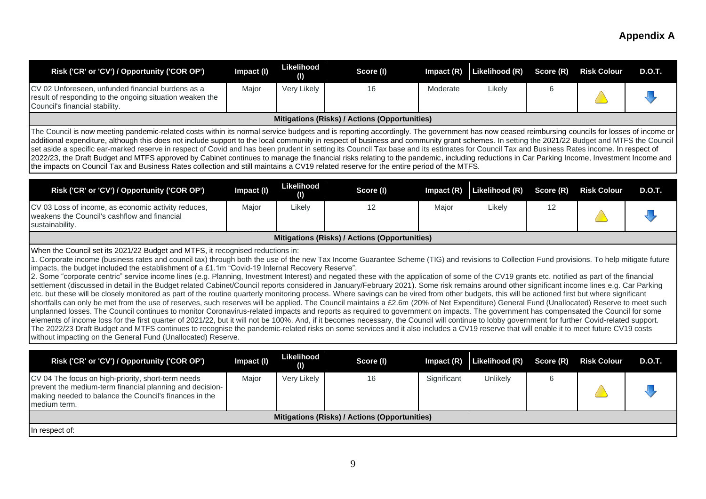| Risk ('CR' or 'CV') / Opportunity ('COR OP')                                                                                                                                                                                                                                                                                                                                                                                                                                                                                                                                                                                                                                                                                                                                                                                                                                                                                                                                                                                                                                                                                                                                                                                                                                                                                                                                                                                                                                                                                                                                                                                                                                                                                                                                                                                              | Impact (I) | Likelihood<br>(I) | Score (I)                                            | Impact $(R)$ | Likelihood (R) | Score (R) | <b>Risk Colour</b> | <b>D.O.T.</b> |
|-------------------------------------------------------------------------------------------------------------------------------------------------------------------------------------------------------------------------------------------------------------------------------------------------------------------------------------------------------------------------------------------------------------------------------------------------------------------------------------------------------------------------------------------------------------------------------------------------------------------------------------------------------------------------------------------------------------------------------------------------------------------------------------------------------------------------------------------------------------------------------------------------------------------------------------------------------------------------------------------------------------------------------------------------------------------------------------------------------------------------------------------------------------------------------------------------------------------------------------------------------------------------------------------------------------------------------------------------------------------------------------------------------------------------------------------------------------------------------------------------------------------------------------------------------------------------------------------------------------------------------------------------------------------------------------------------------------------------------------------------------------------------------------------------------------------------------------------|------------|-------------------|------------------------------------------------------|--------------|----------------|-----------|--------------------|---------------|
| CV 02 Unforeseen, unfunded financial burdens as a<br>result of responding to the ongoing situation weaken the<br>Council's financial stability.                                                                                                                                                                                                                                                                                                                                                                                                                                                                                                                                                                                                                                                                                                                                                                                                                                                                                                                                                                                                                                                                                                                                                                                                                                                                                                                                                                                                                                                                                                                                                                                                                                                                                           | Major      | Very Likely       | 16                                                   | Moderate     | Likely         | 6         |                    |               |
|                                                                                                                                                                                                                                                                                                                                                                                                                                                                                                                                                                                                                                                                                                                                                                                                                                                                                                                                                                                                                                                                                                                                                                                                                                                                                                                                                                                                                                                                                                                                                                                                                                                                                                                                                                                                                                           |            |                   | <b>Mitigations (Risks) / Actions (Opportunities)</b> |              |                |           |                    |               |
| The Council is now meeting pandemic-related costs within its normal service budgets and is reporting accordingly. The government has now ceased reimbursing councils for losses of income or<br>additional expenditure, although this does not include support to the local community in respect of business and community grant schemes. In setting the 2021/22 Budget and MTFS the Council<br>set aside a specific ear-marked reserve in respect of Covid and has been prudent in setting its Council Tax base and its estimates for Council Tax and Business Rates income. In respect of<br>2022/23, the Draft Budget and MTFS approved by Cabinet continues to manage the financial risks relating to the pandemic, including reductions in Car Parking Income, Investment Income and<br>the impacts on Council Tax and Business Rates collection and still maintains a CV19 related reserve for the entire period of the MTFS.                                                                                                                                                                                                                                                                                                                                                                                                                                                                                                                                                                                                                                                                                                                                                                                                                                                                                                       |            |                   |                                                      |              |                |           |                    |               |
| Risk ('CR' or 'CV') / Opportunity ('COR OP')                                                                                                                                                                                                                                                                                                                                                                                                                                                                                                                                                                                                                                                                                                                                                                                                                                                                                                                                                                                                                                                                                                                                                                                                                                                                                                                                                                                                                                                                                                                                                                                                                                                                                                                                                                                              | Impact (I) | Likelihood<br>(1) | Score (I)                                            | Impact $(R)$ | Likelihood (R) | Score (R) | <b>Risk Colour</b> | <b>D.O.T.</b> |
| CV 03 Loss of income, as economic activity reduces,<br>weakens the Council's cashflow and financial<br>sustainability.                                                                                                                                                                                                                                                                                                                                                                                                                                                                                                                                                                                                                                                                                                                                                                                                                                                                                                                                                                                                                                                                                                                                                                                                                                                                                                                                                                                                                                                                                                                                                                                                                                                                                                                    | Major      | Likely            | 12                                                   | Major        | Likely         | 12        |                    |               |
|                                                                                                                                                                                                                                                                                                                                                                                                                                                                                                                                                                                                                                                                                                                                                                                                                                                                                                                                                                                                                                                                                                                                                                                                                                                                                                                                                                                                                                                                                                                                                                                                                                                                                                                                                                                                                                           |            |                   | Mitigations (Risks) / Actions (Opportunities)        |              |                |           |                    |               |
| When the Council set its 2021/22 Budget and MTFS, it recognised reductions in:<br>1. Corporate income (business rates and council tax) through both the use of the new Tax Income Guarantee Scheme (TIG) and revisions to Collection Fund provisions. To help mitigate future<br>impacts, the budget included the establishment of a £1.1m "Covid-19 Internal Recovery Reserve".<br>2. Some "corporate centric" service income lines (e.g. Planning, Investment Interest) and negated these with the application of some of the CV19 grants etc. notified as part of the financial<br>settlement (discussed in detail in the Budget related Cabinet/Council reports considered in January/February 2021). Some risk remains around other significant income lines e.g. Car Parking<br>etc. but these will be closely monitored as part of the routine quarterly monitoring process. Where savings can be vired from other budgets, this will be actioned first but where significant<br>shortfalls can only be met from the use of reserves, such reserves will be applied. The Council maintains a £2.6m (20% of Net Expenditure) General Fund (Unallocated) Reserve to meet such<br>unplanned losses. The Council continues to monitor Coronavirus-related impacts and reports as required to government on impacts. The government has compensated the Council for some<br>elements of income loss for the first quarter of 2021/22, but it will not be 100%. And, if it becomes necessary, the Council will continue to lobby government for further Covid-related support.<br>The 2022/23 Draft Budget and MTFS continues to recognise the pandemic-related risks on some services and it also includes a CV19 reserve that will enable it to meet future CV19 costs<br>without impacting on the General Fund (Unallocated) Reserve. |            |                   |                                                      |              |                |           |                    |               |
|                                                                                                                                                                                                                                                                                                                                                                                                                                                                                                                                                                                                                                                                                                                                                                                                                                                                                                                                                                                                                                                                                                                                                                                                                                                                                                                                                                                                                                                                                                                                                                                                                                                                                                                                                                                                                                           |            | Likelihood        |                                                      |              |                |           |                    | <b>D.O.T.</b> |
| Risk ('CR' or 'CV') / Opportunity ('COR OP')                                                                                                                                                                                                                                                                                                                                                                                                                                                                                                                                                                                                                                                                                                                                                                                                                                                                                                                                                                                                                                                                                                                                                                                                                                                                                                                                                                                                                                                                                                                                                                                                                                                                                                                                                                                              | Impact (I) | $\bf( I)$         | Score (I)                                            | Impact (R)   | Likelihood (R) | Score (R) | <b>Risk Colour</b> |               |
| CV 04 The focus on high-priority, short-term needs<br>prevent the medium-term financial planning and decision-<br>making needed to balance the Council's finances in the<br>medium term.                                                                                                                                                                                                                                                                                                                                                                                                                                                                                                                                                                                                                                                                                                                                                                                                                                                                                                                                                                                                                                                                                                                                                                                                                                                                                                                                                                                                                                                                                                                                                                                                                                                  | Major      | Very Likely       | 16                                                   | Significant  | Unlikely       | 6         |                    |               |
|                                                                                                                                                                                                                                                                                                                                                                                                                                                                                                                                                                                                                                                                                                                                                                                                                                                                                                                                                                                                                                                                                                                                                                                                                                                                                                                                                                                                                                                                                                                                                                                                                                                                                                                                                                                                                                           |            |                   | Mitigations (Risks) / Actions (Opportunities)        |              |                |           |                    |               |
| In respect of:                                                                                                                                                                                                                                                                                                                                                                                                                                                                                                                                                                                                                                                                                                                                                                                                                                                                                                                                                                                                                                                                                                                                                                                                                                                                                                                                                                                                                                                                                                                                                                                                                                                                                                                                                                                                                            |            |                   |                                                      |              |                |           |                    |               |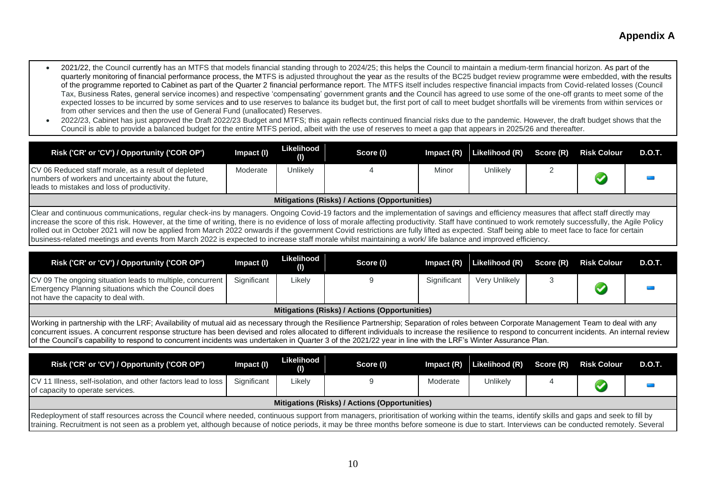- 2021/22, the Council currently has an MTFS that models financial standing through to 2024/25; this helps the Council to maintain a medium-term financial horizon. As part of the quarterly monitoring of financial performance process, the MTFS is adjusted throughout the year as the results of the BC25 budget review programme were embedded, with the results of the programme reported to Cabinet as part of the Quarter 2 financial performance report. The MTFS itself includes respective financial impacts from Covid-related losses (Council Tax, Business Rates, general service incomes) and respective 'compensating' government grants and the Council has agreed to use some of the one-off grants to meet some of the expected losses to be incurred by some services and to use reserves to balance its budget but, the first port of call to meet budget shortfalls will be virements from within services or from other services and then the use of General Fund (unallocated) Reserves.
- 2022/23, Cabinet has just approved the Draft 2022/23 Budget and MTFS; this again reflects continued financial risks due to the pandemic. However, the draft budget shows that the Council is able to provide a balanced budget for the entire MTFS period, albeit with the use of reserves to meet a gap that appears in 2025/26 and thereafter.

| Risk ('CR' or 'CV') / Opportunity ('COR OP')                                                                                                                                                                                                                                                                                                                                                                                                                                                                                                                                                  | Impact (I) | Likelihood<br>(1) | Score (I) |       | Impact (R) Likelihood (R) Score (R) |  | <b>Risk Colour</b> | <b>D.O.T.</b> |  |
|-----------------------------------------------------------------------------------------------------------------------------------------------------------------------------------------------------------------------------------------------------------------------------------------------------------------------------------------------------------------------------------------------------------------------------------------------------------------------------------------------------------------------------------------------------------------------------------------------|------------|-------------------|-----------|-------|-------------------------------------|--|--------------------|---------------|--|
| CV 06 Reduced staff morale, as a result of depleted<br>numbers of workers and uncertainty about the future.<br>leads to mistakes and loss of productivity.                                                                                                                                                                                                                                                                                                                                                                                                                                    | Moderate   | Unlikely          |           | Minor | Unlikelv                            |  |                    |               |  |
| Mitigations (Risks) / Actions (Opportunities)                                                                                                                                                                                                                                                                                                                                                                                                                                                                                                                                                 |            |                   |           |       |                                     |  |                    |               |  |
| Clear and continuous communications, regular check-ins by managers. Ongoing Covid-19 factors and the implementation of savings and efficiency measures that affect staff directly may<br>increase the score of this risk. However, at the time of writing, there is no evidence of loss of morale affecting productivity. Staff have continued to work remotely successfully, the Agile Policy<br>rolled out in October 2021 will now be applied from March 2022 onwards if the government Covid restrictions are fully lifted as expected. Staff being able to meet face to face for certain |            |                   |           |       |                                     |  |                    |               |  |

business-related meetings and events from March 2022 is expected to increase staff morale whilst maintaining a work/ life balance and improved efficiency.

| Risk ('CR' or 'CV') / Opportunity ('COR OP')                                                                                                                                                                                                                                                                                                                               | Impact (I)  | Likelihood<br>(1) | Score (I) | Impact $(R)$ | Likelihood (R) Score (R) Risk Colour |  |  | D.O.T. |  |
|----------------------------------------------------------------------------------------------------------------------------------------------------------------------------------------------------------------------------------------------------------------------------------------------------------------------------------------------------------------------------|-------------|-------------------|-----------|--------------|--------------------------------------|--|--|--------|--|
| CV 09 The ongoing situation leads to multiple, concurrent<br>Emergency Planning situations which the Council does<br>not have the capacity to deal with.                                                                                                                                                                                                                   | Significant | ∟ikelv            |           | Significant  | Very Unlikely                        |  |  |        |  |
| Mitigations (Risks) / Actions (Opportunities)                                                                                                                                                                                                                                                                                                                              |             |                   |           |              |                                      |  |  |        |  |
| Working in partnership with the LRF; Availability of mutual aid as necessary through the Resilience Partnership; Separation of roles between Corporate Management Team to deal with any<br>concurrent isouce a concurrent regnance of unture has been deviaed and released to different individuals to increase the registered to concurrent incidents. An internal review |             |                   |           |              |                                      |  |  |        |  |

concurrent issues. A concurrent response structure has been devised and roles allocated to different individuals to increase the resilience to respond to concurrent incidents. An internal review of the Council's capability to respond to concurrent incidents was undertaken in Quarter 3 of the 2021/22 year in line with the LRF's Winter Assurance Plan.

| Risk ('CR' or 'CV') / Opportunity ('COR OP')                                                      | Impact (I)                                                                                                                                                                                                                                                                                                                                                                                  | Likelihood<br>(1) | Score (I) | $Im$ pact $(R)$ | Likelihood (R) |  | Score (R) Risk Colour | <b>D.O.T.</b> |  |  |
|---------------------------------------------------------------------------------------------------|---------------------------------------------------------------------------------------------------------------------------------------------------------------------------------------------------------------------------------------------------------------------------------------------------------------------------------------------------------------------------------------------|-------------------|-----------|-----------------|----------------|--|-----------------------|---------------|--|--|
| CV 11 Illness, self-isolation, and other factors lead to loss<br>of capacity to operate services. | Significant                                                                                                                                                                                                                                                                                                                                                                                 | Likelv            |           | Moderate        | Unlikely       |  |                       |               |  |  |
| Mitigations (Risks) / Actions (Opportunities)                                                     |                                                                                                                                                                                                                                                                                                                                                                                             |                   |           |                 |                |  |                       |               |  |  |
|                                                                                                   | Redeployment of staff resources across the Council where needed, continuous support from managers, prioritisation of working within the teams, identify skills and gaps and seek to fill by<br>training. Recruitment is not seen as a problem yet, although because of notice periods, it may be three months before someone is due to start. Interviews can be conducted remotely. Several |                   |           |                 |                |  |                       |               |  |  |